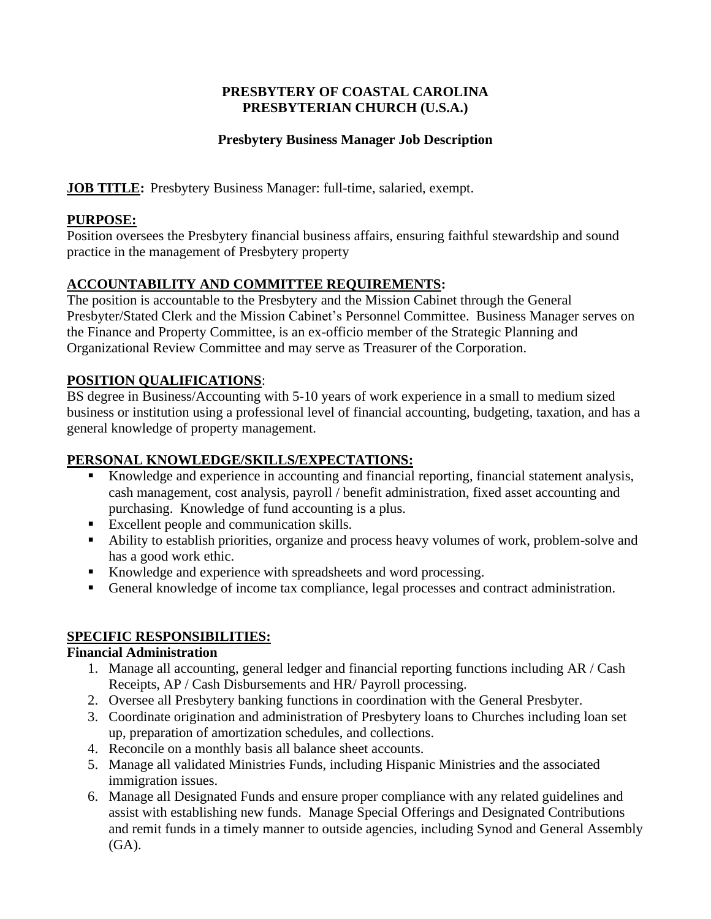#### **PRESBYTERY OF COASTAL CAROLINA PRESBYTERIAN CHURCH (U.S.A.)**

### **Presbytery Business Manager Job Description**

**JOB TITLE:** Presbytery Business Manager: full-time, salaried, exempt.

### **PURPOSE:**

Position oversees the Presbytery financial business affairs, ensuring faithful stewardship and sound practice in the management of Presbytery property

# **ACCOUNTABILITY AND COMMITTEE REQUIREMENTS:**

The position is accountable to the Presbytery and the Mission Cabinet through the General Presbyter/Stated Clerk and the Mission Cabinet's Personnel Committee. Business Manager serves on the Finance and Property Committee, is an ex-officio member of the Strategic Planning and Organizational Review Committee and may serve as Treasurer of the Corporation.

### **POSITION QUALIFICATIONS**:

BS degree in Business/Accounting with 5-10 years of work experience in a small to medium sized business or institution using a professional level of financial accounting, budgeting, taxation, and has a general knowledge of property management.

# **PERSONAL KNOWLEDGE/SKILLS/EXPECTATIONS:**

- Knowledge and experience in accounting and financial reporting, financial statement analysis, cash management, cost analysis, payroll / benefit administration, fixed asset accounting and purchasing. Knowledge of fund accounting is a plus.
- Excellent people and communication skills.
- Ability to establish priorities, organize and process heavy volumes of work, problem-solve and has a good work ethic.
- Knowledge and experience with spreadsheets and word processing.
- General knowledge of income tax compliance, legal processes and contract administration.

# **SPECIFIC RESPONSIBILITIES:**

### **Financial Administration**

- 1. Manage all accounting, general ledger and financial reporting functions including AR / Cash Receipts, AP / Cash Disbursements and HR/ Payroll processing.
- 2. Oversee all Presbytery banking functions in coordination with the General Presbyter.
- 3. Coordinate origination and administration of Presbytery loans to Churches including loan set up, preparation of amortization schedules, and collections.
- 4. Reconcile on a monthly basis all balance sheet accounts.
- 5. Manage all validated Ministries Funds, including Hispanic Ministries and the associated immigration issues.
- 6. Manage all Designated Funds and ensure proper compliance with any related guidelines and assist with establishing new funds. Manage Special Offerings and Designated Contributions and remit funds in a timely manner to outside agencies, including Synod and General Assembly  $(GA)$ .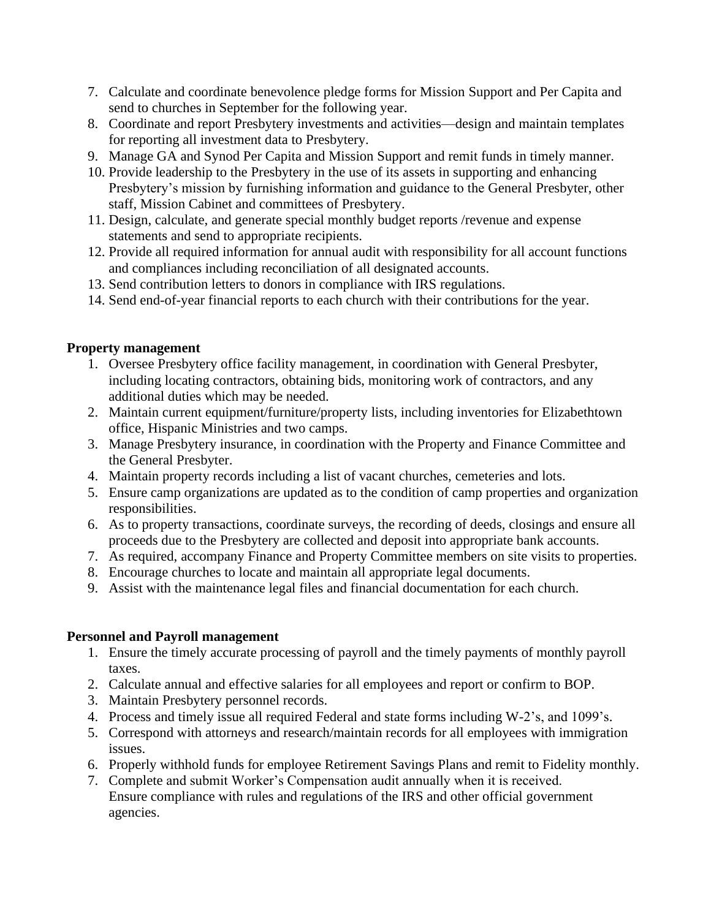- 7. Calculate and coordinate benevolence pledge forms for Mission Support and Per Capita and send to churches in September for the following year.
- 8. Coordinate and report Presbytery investments and activities—design and maintain templates for reporting all investment data to Presbytery.
- 9. Manage GA and Synod Per Capita and Mission Support and remit funds in timely manner.
- 10. Provide leadership to the Presbytery in the use of its assets in supporting and enhancing Presbytery's mission by furnishing information and guidance to the General Presbyter, other staff, Mission Cabinet and committees of Presbytery.
- 11. Design, calculate, and generate special monthly budget reports /revenue and expense statements and send to appropriate recipients.
- 12. Provide all required information for annual audit with responsibility for all account functions and compliances including reconciliation of all designated accounts.
- 13. Send contribution letters to donors in compliance with IRS regulations.
- 14. Send end-of-year financial reports to each church with their contributions for the year.

### **Property management**

- 1. Oversee Presbytery office facility management, in coordination with General Presbyter, including locating contractors, obtaining bids, monitoring work of contractors, and any additional duties which may be needed.
- 2. Maintain current equipment/furniture/property lists, including inventories for Elizabethtown office, Hispanic Ministries and two camps.
- 3. Manage Presbytery insurance, in coordination with the Property and Finance Committee and the General Presbyter.
- 4. Maintain property records including a list of vacant churches, cemeteries and lots.
- 5. Ensure camp organizations are updated as to the condition of camp properties and organization responsibilities.
- 6. As to property transactions, coordinate surveys, the recording of deeds, closings and ensure all proceeds due to the Presbytery are collected and deposit into appropriate bank accounts.
- 7. As required, accompany Finance and Property Committee members on site visits to properties.
- 8. Encourage churches to locate and maintain all appropriate legal documents.
- 9. Assist with the maintenance legal files and financial documentation for each church.

### **Personnel and Payroll management**

- 1. Ensure the timely accurate processing of payroll and the timely payments of monthly payroll taxes.
- 2. Calculate annual and effective salaries for all employees and report or confirm to BOP.
- 3. Maintain Presbytery personnel records.
- 4. Process and timely issue all required Federal and state forms including W-2's, and 1099's.
- 5. Correspond with attorneys and research/maintain records for all employees with immigration issues.
- 6. Properly withhold funds for employee Retirement Savings Plans and remit to Fidelity monthly.
- 7. Complete and submit Worker's Compensation audit annually when it is received. Ensure compliance with rules and regulations of the IRS and other official government agencies.